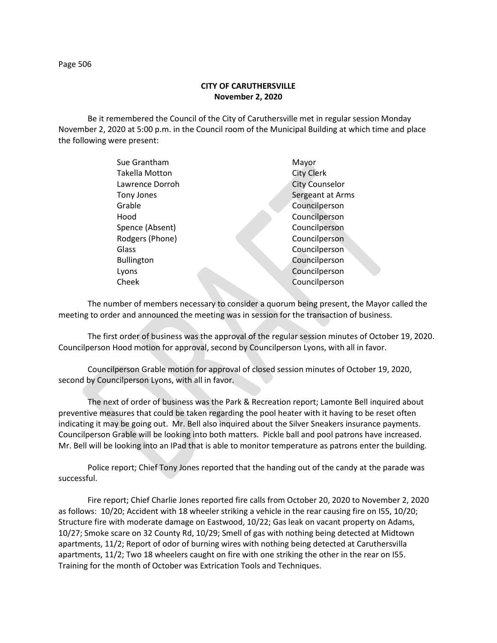## **CITY OF CARUTHERSVILLE November 2, 2020**

Be it remembered the Council of the City of Caruthersville met in regular session Monday November 2, 2020 at 5:00 p.m. in the Council room of the Municipal Building at which time and place the following were present:

| Sue Grantham      | Mayor                 |
|-------------------|-----------------------|
| Takella Motton    | <b>City Clerk</b>     |
| Lawrence Dorroh   | <b>City Counselor</b> |
| Tony Jones        | Sergeant at Arms      |
| Grable            | Councilperson         |
| Hood              | Councilperson         |
| Spence (Absent)   | Councilperson         |
| Rodgers (Phone)   | Councilperson         |
| Glass             | Councilperson         |
| <b>Bullington</b> | Councilperson         |
| Lyons             | Councilperson         |
| Cheek             | Councilperson         |
|                   |                       |

The number of members necessary to consider a quorum being present, the Mayor called the meeting to order and announced the meeting was in session for the transaction of business.

The first order of business was the approval of the regular session minutes of October 19, 2020. Councilperson Hood motion for approval, second by Councilperson Lyons, with all in favor.

Councilperson Grable motion for approval of closed session minutes of October 19, 2020, second by Councilperson Lyons, with all in favor.

The next of order of business was the Park & Recreation report; Lamonte Bell inquired about preventive measures that could be taken regarding the pool heater with it having to be reset often indicating it may be going out. Mr. Bell also inquired about the Silver Sneakers insurance payments. Councilperson Grable will be looking into both matters. Pickle ball and pool patrons have increased. Mr. Bell will be looking into an IPad that is able to monitor temperature as patrons enter the building.

Police report; Chief Tony Jones reported that the handing out of the candy at the parade was successful.

Fire report; Chief Charlie Jones reported fire calls from October 20, 2020 to November 2, 2020 as follows: 10/20; Accident with 18 wheeler striking a vehicle in the rear causing fire on I55, 10/20; Structure fire with moderate damage on Eastwood, 10/22; Gas leak on vacant property on Adams, 10/27; Smoke scare on 32 County Rd, 10/29; Smell of gas with nothing being detected at Midtown apartments, 11/2; Report of odor of burning wires with nothing being detected at Caruthersvilla apartments, 11/2; Two 18 wheelers caught on fire with one striking the other in the rear on I55. Training for the month of October was Extrication Tools and Techniques.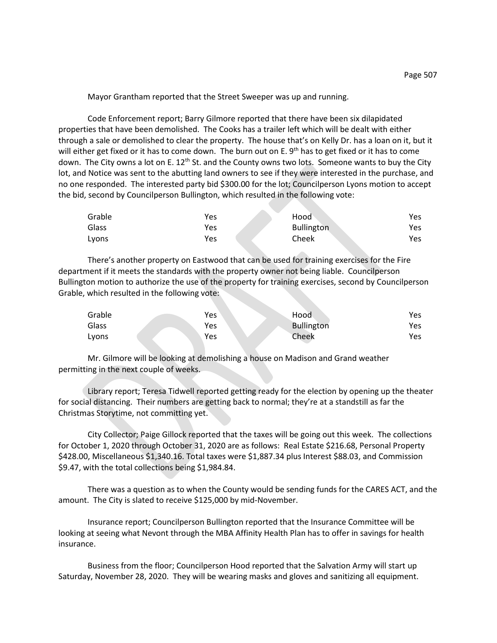Mayor Grantham reported that the Street Sweeper was up and running.

Code Enforcement report; Barry Gilmore reported that there have been six dilapidated properties that have been demolished. The Cooks has a trailer left which will be dealt with either through a sale or demolished to clear the property. The house that's on Kelly Dr. has a loan on it, but it will either get fixed or it has to come down. The burn out on E. 9<sup>th</sup> has to get fixed or it has to come down. The City owns a lot on E. 12<sup>th</sup> St. and the County owns two lots. Someone wants to buy the City lot, and Notice was sent to the abutting land owners to see if they were interested in the purchase, and no one responded. The interested party bid \$300.00 for the lot; Councilperson Lyons motion to accept the bid, second by Councilperson Bullington, which resulted in the following vote:

| Grable | Yes | Hood              | Yes |
|--------|-----|-------------------|-----|
| Glass  | Yes | <b>Bullington</b> | Yes |
| Lyons  | Yes | Cheek             | Yes |

There's another property on Eastwood that can be used for training exercises for the Fire department if it meets the standards with the property owner not being liable. Councilperson Bullington motion to authorize the use of the property for training exercises, second by Councilperson Grable, which resulted in the following vote:

| Grable | Yes | Hood       | Yes |
|--------|-----|------------|-----|
| Glass  | Yes | Bullington | Yes |
| Lyons  | Yes | Cheek      | Yes |

Mr. Gilmore will be looking at demolishing a house on Madison and Grand weather permitting in the next couple of weeks.

Library report; Teresa Tidwell reported getting ready for the election by opening up the theater for social distancing. Their numbers are getting back to normal; they're at a standstill as far the Christmas Storytime, not committing yet.

City Collector; Paige Gillock reported that the taxes will be going out this week. The collections for October 1, 2020 through October 31, 2020 are as follows: Real Estate \$216.68, Personal Property \$428.00, Miscellaneous \$1,340.16. Total taxes were \$1,887.34 plus Interest \$88.03, and Commission \$9.47, with the total collections being \$1,984.84.

There was a question as to when the County would be sending funds for the CARES ACT, and the amount. The City is slated to receive \$125,000 by mid-November.

Insurance report; Councilperson Bullington reported that the Insurance Committee will be looking at seeing what Nevont through the MBA Affinity Health Plan has to offer in savings for health insurance.

Business from the floor; Councilperson Hood reported that the Salvation Army will start up Saturday, November 28, 2020. They will be wearing masks and gloves and sanitizing all equipment.